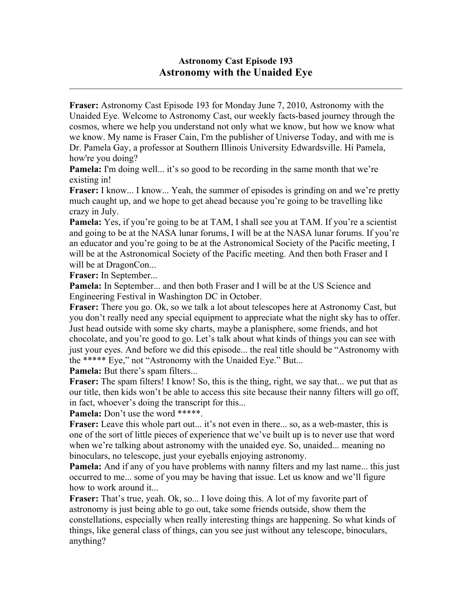## **Astronomy Cast Episode 193 Astronomy with the Unaided Eye**

 $\mathcal{L}_\text{max}$  , and the contribution of the contribution of the contribution of the contribution of the contribution of the contribution of the contribution of the contribution of the contribution of the contribution of t

**Fraser:** Astronomy Cast Episode 193 for Monday June 7, 2010, Astronomy with the Unaided Eye. Welcome to Astronomy Cast, our weekly facts-based journey through the cosmos, where we help you understand not only what we know, but how we know what we know. My name is Fraser Cain, I'm the publisher of Universe Today, and with me is Dr. Pamela Gay, a professor at Southern Illinois University Edwardsville. Hi Pamela, how're you doing?

**Pamela:** I'm doing well... it's so good to be recording in the same month that we're existing in!

**Fraser:** I know... I know... Yeah, the summer of episodes is grinding on and we're pretty much caught up, and we hope to get ahead because you're going to be travelling like crazy in July.

**Pamela:** Yes, if you're going to be at TAM, I shall see you at TAM. If you're a scientist and going to be at the NASA lunar forums, I will be at the NASA lunar forums. If you're an educator and you're going to be at the Astronomical Society of the Pacific meeting, I will be at the Astronomical Society of the Pacific meeting. And then both Fraser and I will be at DragonCon...

**Fraser:** In September...

**Pamela:** In September... and then both Fraser and I will be at the US Science and Engineering Festival in Washington DC in October.

**Fraser:** There you go. Ok, so we talk a lot about telescopes here at Astronomy Cast, but you don't really need any special equipment to appreciate what the night sky has to offer. Just head outside with some sky charts, maybe a planisphere, some friends, and hot chocolate, and you're good to go. Let's talk about what kinds of things you can see with just your eyes. And before we did this episode... the real title should be "Astronomy with the \*\*\*\*\* Eye," not "Astronomy with the Unaided Eye." But...

Pamela: But there's spam filters...

**Fraser:** The spam filters! I know! So, this is the thing, right, we say that... we put that as our title, then kids won't be able to access this site because their nanny filters will go off, in fact, whoever's doing the transcript for this...

Pamela: Don't use the word \*\*\*\*\*.

**Fraser:** Leave this whole part out... it's not even in there... so, as a web-master, this is one of the sort of little pieces of experience that we've built up is to never use that word when we're talking about astronomy with the unaided eye. So, unaided... meaning no binoculars, no telescope, just your eyeballs enjoying astronomy.

**Pamela:** And if any of you have problems with nanny filters and my last name... this just occurred to me... some of you may be having that issue. Let us know and we'll figure how to work around it...

**Fraser:** That's true, yeah. Ok, so... I love doing this. A lot of my favorite part of astronomy is just being able to go out, take some friends outside, show them the constellations, especially when really interesting things are happening. So what kinds of things, like general class of things, can you see just without any telescope, binoculars, anything?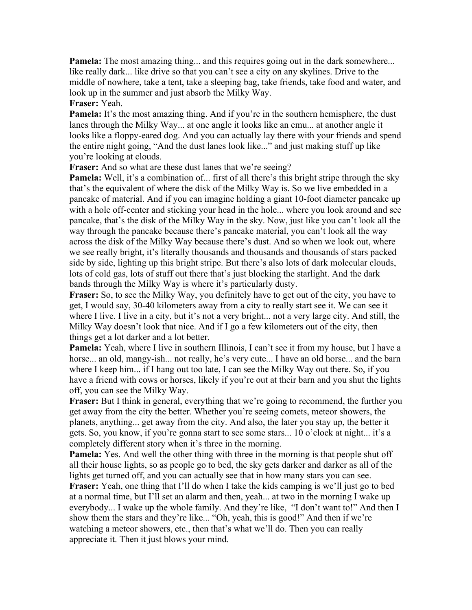**Pamela:** The most amazing thing... and this requires going out in the dark somewhere... like really dark... like drive so that you can't see a city on any skylines. Drive to the middle of nowhere, take a tent, take a sleeping bag, take friends, take food and water, and look up in the summer and just absorb the Milky Way. **Fraser:** Yeah.

**Pamela:** It's the most amazing thing. And if you're in the southern hemisphere, the dust lanes through the Milky Way... at one angle it looks like an emu... at another angle it looks like a floppy-eared dog. And you can actually lay there with your friends and spend the entire night going, "And the dust lanes look like..." and just making stuff up like you're looking at clouds.

**Fraser:** And so what are these dust lanes that we're seeing?

**Pamela:** Well, it's a combination of... first of all there's this bright stripe through the sky that's the equivalent of where the disk of the Milky Way is. So we live embedded in a pancake of material. And if you can imagine holding a giant 10-foot diameter pancake up with a hole off-center and sticking your head in the hole... where you look around and see pancake, that's the disk of the Milky Way in the sky. Now, just like you can't look all the way through the pancake because there's pancake material, you can't look all the way across the disk of the Milky Way because there's dust. And so when we look out, where we see really bright, it's literally thousands and thousands and thousands of stars packed side by side, lighting up this bright stripe. But there's also lots of dark molecular clouds, lots of cold gas, lots of stuff out there that's just blocking the starlight. And the dark bands through the Milky Way is where it's particularly dusty.

**Fraser:** So, to see the Milky Way, you definitely have to get out of the city, you have to get, I would say, 30-40 kilometers away from a city to really start see it. We can see it where I live. I live in a city, but it's not a very bright... not a very large city. And still, the Milky Way doesn't look that nice. And if I go a few kilometers out of the city, then things get a lot darker and a lot better.

**Pamela:** Yeah, where I live in southern Illinois, I can't see it from my house, but I have a horse... an old, mangy-ish... not really, he's very cute... I have an old horse... and the barn where I keep him... if I hang out too late, I can see the Milky Way out there. So, if you have a friend with cows or horses, likely if you're out at their barn and you shut the lights off, you can see the Milky Way.

**Fraser:** But I think in general, everything that we're going to recommend, the further you get away from the city the better. Whether you're seeing comets, meteor showers, the planets, anything... get away from the city. And also, the later you stay up, the better it gets. So, you know, if you're gonna start to see some stars... 10 o'clock at night... it's a completely different story when it's three in the morning.

**Pamela:** Yes. And well the other thing with three in the morning is that people shut off all their house lights, so as people go to bed, the sky gets darker and darker as all of the lights get turned off, and you can actually see that in how many stars you can see.

**Fraser:** Yeah, one thing that I'll do when I take the kids camping is we'll just go to bed at a normal time, but I'll set an alarm and then, yeah... at two in the morning I wake up everybody... I wake up the whole family. And they're like, "I don't want to!" And then I show them the stars and they're like... "Oh, yeah, this is good!" And then if we're watching a meteor showers, etc., then that's what we'll do. Then you can really appreciate it. Then it just blows your mind.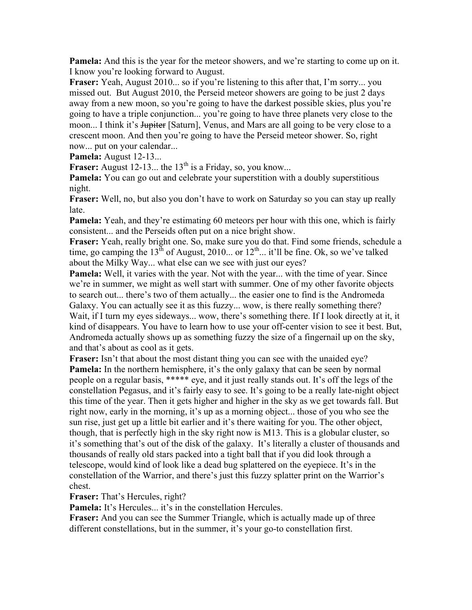**Pamela:** And this is the year for the meteor showers, and we're starting to come up on it. I know you're looking forward to August.

**Fraser:** Yeah, August 2010... so if you're listening to this after that, I'm sorry... you missed out. But August 2010, the Perseid meteor showers are going to be just 2 days away from a new moon, so you're going to have the darkest possible skies, plus you're going to have a triple conjunction... you're going to have three planets very close to the moon... I think it's <del>Jupiter</del> [Saturn], Venus, and Mars are all going to be very close to a crescent moon. And then you're going to have the Perseid meteor shower. So, right now... put on your calendar...

**Pamela:** August 12-13...

**Fraser:** August 12-13... the  $13<sup>th</sup>$  is a Friday, so, you know...

**Pamela:** You can go out and celebrate your superstition with a doubly superstitious night.

**Fraser:** Well, no, but also you don't have to work on Saturday so you can stay up really late.

**Pamela:** Yeah, and they're estimating 60 meteors per hour with this one, which is fairly consistent... and the Perseids often put on a nice bright show.

**Fraser:** Yeah, really bright one. So, make sure you do that. Find some friends, schedule a time, go camping the  $13^{th}$  of August, 2010... or  $12^{th}$ ... it'll be fine. Ok, so we've talked about the Milky Way... what else can we see with just our eyes?

**Pamela:** Well, it varies with the year. Not with the year... with the time of year. Since we're in summer, we might as well start with summer. One of my other favorite objects to search out... there's two of them actually... the easier one to find is the Andromeda Galaxy. You can actually see it as this fuzzy... wow, is there really something there? Wait, if I turn my eyes sideways... wow, there's something there. If I look directly at it, it kind of disappears. You have to learn how to use your off-center vision to see it best. But, Andromeda actually shows up as something fuzzy the size of a fingernail up on the sky, and that's about as cool as it gets.

**Fraser:** Isn't that about the most distant thing you can see with the unaided eye? **Pamela:** In the northern hemisphere, it's the only galaxy that can be seen by normal people on a regular basis, \*\*\*\*\* eye, and it just really stands out. It's off the legs of the constellation Pegasus, and it's fairly easy to see. It's going to be a really late-night object this time of the year. Then it gets higher and higher in the sky as we get towards fall. But right now, early in the morning, it's up as a morning object... those of you who see the sun rise, just get up a little bit earlier and it's there waiting for you. The other object, though, that is perfectly high in the sky right now is M13. This is a globular cluster, so it's something that's out of the disk of the galaxy. It's literally a cluster of thousands and thousands of really old stars packed into a tight ball that if you did look through a telescope, would kind of look like a dead bug splattered on the eyepiece. It's in the constellation of the Warrior, and there's just this fuzzy splatter print on the Warrior's chest.

**Fraser:** That's Hercules, right?

**Pamela:** It's Hercules... it's in the constellation Hercules.

**Fraser:** And you can see the Summer Triangle, which is actually made up of three different constellations, but in the summer, it's your go-to constellation first.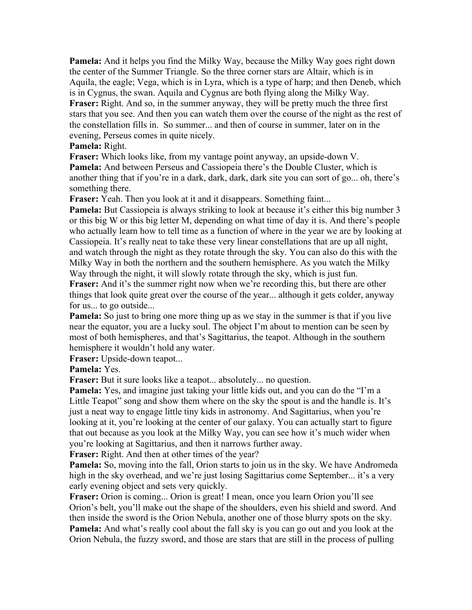**Pamela:** And it helps you find the Milky Way, because the Milky Way goes right down the center of the Summer Triangle. So the three corner stars are Altair, which is in Aquila, the eagle; Vega, which is in Lyra, which is a type of harp; and then Deneb, which is in Cygnus, the swan. Aquila and Cygnus are both flying along the Milky Way. **Fraser:** Right. And so, in the summer anyway, they will be pretty much the three first stars that you see. And then you can watch them over the course of the night as the rest of the constellation fills in. So summer... and then of course in summer, later on in the evening, Perseus comes in quite nicely.

## **Pamela:** Right.

**Fraser:** Which looks like, from my vantage point anyway, an upside-down V. **Pamela:** And between Perseus and Cassiopeia there's the Double Cluster, which is another thing that if you're in a dark, dark, dark, dark site you can sort of go... oh, there's something there.

**Fraser:** Yeah. Then you look at it and it disappears. Something faint...

**Pamela:** But Cassiopeia is always striking to look at because it's either this big number 3 or this big W or this big letter M, depending on what time of day it is. And there's people who actually learn how to tell time as a function of where in the year we are by looking at Cassiopeia. It's really neat to take these very linear constellations that are up all night, and watch through the night as they rotate through the sky. You can also do this with the Milky Way in both the northern and the southern hemisphere. As you watch the Milky Way through the night, it will slowly rotate through the sky, which is just fun.

**Fraser:** And it's the summer right now when we're recording this, but there are other things that look quite great over the course of the year... although it gets colder, anyway for us... to go outside...

**Pamela:** So just to bring one more thing up as we stay in the summer is that if you live near the equator, you are a lucky soul. The object I'm about to mention can be seen by most of both hemispheres, and that's Sagittarius, the teapot. Although in the southern hemisphere it wouldn't hold any water.

**Fraser:** Upside-down teapot...

**Pamela:** Yes.

**Fraser:** But it sure looks like a teapot... absolutely... no question.

**Pamela:** Yes, and imagine just taking your little kids out, and you can do the "I'm a Little Teapot" song and show them where on the sky the spout is and the handle is. It's just a neat way to engage little tiny kids in astronomy. And Sagittarius, when you're looking at it, you're looking at the center of our galaxy. You can actually start to figure that out because as you look at the Milky Way, you can see how it's much wider when you're looking at Sagittarius, and then it narrows further away.

**Fraser:** Right. And then at other times of the year?

**Pamela:** So, moving into the fall, Orion starts to join us in the sky. We have Andromeda high in the sky overhead, and we're just losing Sagittarius come September... it's a very early evening object and sets very quickly.

**Fraser:** Orion is coming... Orion is great! I mean, once you learn Orion you'll see Orion's belt, you'll make out the shape of the shoulders, even his shield and sword. And then inside the sword is the Orion Nebula, another one of those blurry spots on the sky. **Pamela:** And what's really cool about the fall sky is you can go out and you look at the Orion Nebula, the fuzzy sword, and those are stars that are still in the process of pulling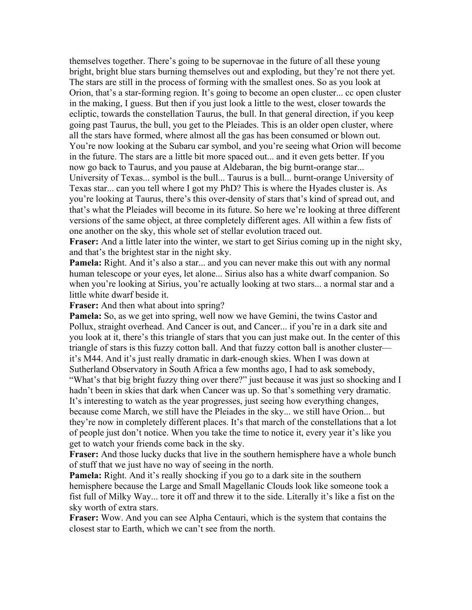themselves together. There's going to be supernovae in the future of all these young bright, bright blue stars burning themselves out and exploding, but they're not there yet. The stars are still in the process of forming with the smallest ones. So as you look at Orion, that's a star-forming region. It's going to become an open cluster... cc open cluster in the making, I guess. But then if you just look a little to the west, closer towards the ecliptic, towards the constellation Taurus, the bull. In that general direction, if you keep going past Taurus, the bull, you get to the Pleiades. This is an older open cluster, where all the stars have formed, where almost all the gas has been consumed or blown out. You're now looking at the Subaru car symbol, and you're seeing what Orion will become in the future. The stars are a little bit more spaced out... and it even gets better. If you now go back to Taurus, and you pause at Aldebaran, the big burnt-orange star... University of Texas... symbol is the bull... Taurus is a bull... burnt-orange University of Texas star... can you tell where I got my PhD? This is where the Hyades cluster is. As you're looking at Taurus, there's this over-density of stars that's kind of spread out, and that's what the Pleiades will become in its future. So here we're looking at three different versions of the same object, at three completely different ages. All within a few fists of one another on the sky, this whole set of stellar evolution traced out.

**Fraser:** And a little later into the winter, we start to get Sirius coming up in the night sky, and that's the brightest star in the night sky.

**Pamela:** Right. And it's also a star... and you can never make this out with any normal human telescope or your eyes, let alone... Sirius also has a white dwarf companion. So when you're looking at Sirius, you're actually looking at two stars... a normal star and a little white dwarf beside it.

**Fraser:** And then what about into spring?

**Pamela:** So, as we get into spring, well now we have Gemini, the twins Castor and Pollux, straight overhead. And Cancer is out, and Cancer... if you're in a dark site and you look at it, there's this triangle of stars that you can just make out. In the center of this triangle of stars is this fuzzy cotton ball. And that fuzzy cotton ball is another cluster it's M44. And it's just really dramatic in dark-enough skies. When I was down at Sutherland Observatory in South Africa a few months ago, I had to ask somebody, "What's that big bright fuzzy thing over there?" just because it was just so shocking and I hadn't been in skies that dark when Cancer was up. So that's something very dramatic. It's interesting to watch as the year progresses, just seeing how everything changes, because come March, we still have the Pleiades in the sky... we still have Orion... but they're now in completely different places. It's that march of the constellations that a lot of people just don't notice. When you take the time to notice it, every year it's like you get to watch your friends come back in the sky.

**Fraser:** And those lucky ducks that live in the southern hemisphere have a whole bunch of stuff that we just have no way of seeing in the north.

**Pamela:** Right. And it's really shocking if you go to a dark site in the southern hemisphere because the Large and Small Magellanic Clouds look like someone took a fist full of Milky Way... tore it off and threw it to the side. Literally it's like a fist on the sky worth of extra stars.

**Fraser:** Wow. And you can see Alpha Centauri, which is the system that contains the closest star to Earth, which we can't see from the north.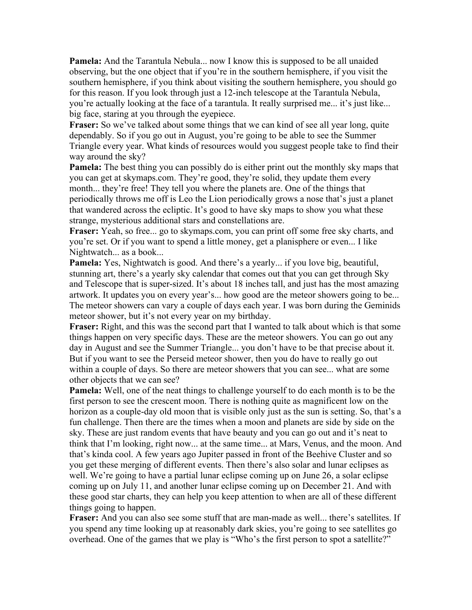**Pamela:** And the Tarantula Nebula... now I know this is supposed to be all unaided observing, but the one object that if you're in the southern hemisphere, if you visit the southern hemisphere, if you think about visiting the southern hemisphere, you should go for this reason. If you look through just a 12-inch telescope at the Tarantula Nebula, you're actually looking at the face of a tarantula. It really surprised me... it's just like... big face, staring at you through the eyepiece.

**Fraser:** So we've talked about some things that we can kind of see all year long, quite dependably. So if you go out in August, you're going to be able to see the Summer Triangle every year. What kinds of resources would you suggest people take to find their way around the sky?

**Pamela:** The best thing you can possibly do is either print out the monthly sky maps that you can get at skymaps.com. They're good, they're solid, they update them every month... they're free! They tell you where the planets are. One of the things that periodically throws me off is Leo the Lion periodically grows a nose that's just a planet that wandered across the ecliptic. It's good to have sky maps to show you what these strange, mysterious additional stars and constellations are.

**Fraser:** Yeah, so free... go to skymaps.com, you can print off some free sky charts, and you're set. Or if you want to spend a little money, get a planisphere or even... I like Nightwatch... as a book...

**Pamela:** Yes, Nightwatch is good. And there's a yearly... if you love big, beautiful, stunning art, there's a yearly sky calendar that comes out that you can get through Sky and Telescope that is super-sized. It's about 18 inches tall, and just has the most amazing artwork. It updates you on every year's... how good are the meteor showers going to be... The meteor showers can vary a couple of days each year. I was born during the Geminids meteor shower, but it's not every year on my birthday.

**Fraser:** Right, and this was the second part that I wanted to talk about which is that some things happen on very specific days. These are the meteor showers. You can go out any day in August and see the Summer Triangle... you don't have to be that precise about it. But if you want to see the Perseid meteor shower, then you do have to really go out within a couple of days. So there are meteor showers that you can see... what are some other objects that we can see?

**Pamela:** Well, one of the neat things to challenge yourself to do each month is to be the first person to see the crescent moon. There is nothing quite as magnificent low on the horizon as a couple-day old moon that is visible only just as the sun is setting. So, that's a fun challenge. Then there are the times when a moon and planets are side by side on the sky. These are just random events that have beauty and you can go out and it's neat to think that I'm looking, right now... at the same time... at Mars, Venus, and the moon. And that's kinda cool. A few years ago Jupiter passed in front of the Beehive Cluster and so you get these merging of different events. Then there's also solar and lunar eclipses as well. We're going to have a partial lunar eclipse coming up on June 26, a solar eclipse coming up on July 11, and another lunar eclipse coming up on December 21. And with these good star charts, they can help you keep attention to when are all of these different things going to happen.

**Fraser:** And you can also see some stuff that are man-made as well... there's satellites. If you spend any time looking up at reasonably dark skies, you're going to see satellites go overhead. One of the games that we play is "Who's the first person to spot a satellite?"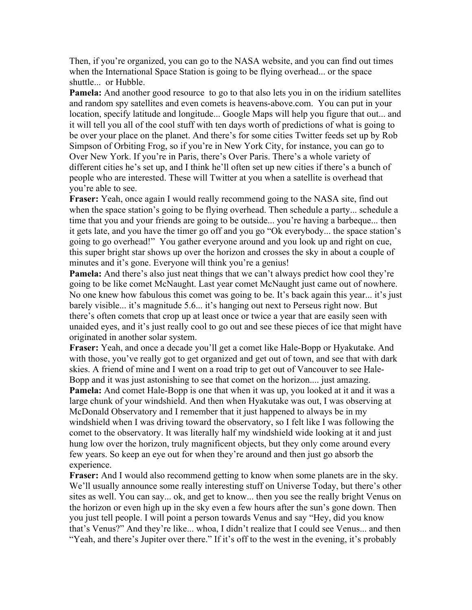Then, if you're organized, you can go to the NASA website, and you can find out times when the International Space Station is going to be flying overhead... or the space shuttle... or Hubble.

**Pamela:** And another good resource to go to that also lets you in on the iridium satellites and random spy satellites and even comets is heavens-above.com. You can put in your location, specify latitude and longitude... Google Maps will help you figure that out... and it will tell you all of the cool stuff with ten days worth of predictions of what is going to be over your place on the planet. And there's for some cities Twitter feeds set up by Rob Simpson of Orbiting Frog, so if you're in New York City, for instance, you can go to Over New York. If you're in Paris, there's Over Paris. There's a whole variety of different cities he's set up, and I think he'll often set up new cities if there's a bunch of people who are interested. These will Twitter at you when a satellite is overhead that you're able to see.

**Fraser:** Yeah, once again I would really recommend going to the NASA site, find out when the space station's going to be flying overhead. Then schedule a party... schedule a time that you and your friends are going to be outside... you're having a barbeque... then it gets late, and you have the timer go off and you go "Ok everybody... the space station's going to go overhead!" You gather everyone around and you look up and right on cue, this super bright star shows up over the horizon and crosses the sky in about a couple of minutes and it's gone. Everyone will think you're a genius!

**Pamela:** And there's also just neat things that we can't always predict how cool they're going to be like comet McNaught. Last year comet McNaught just came out of nowhere. No one knew how fabulous this comet was going to be. It's back again this year... it's just barely visible... it's magnitude 5.6... it's hanging out next to Perseus right now. But there's often comets that crop up at least once or twice a year that are easily seen with unaided eyes, and it's just really cool to go out and see these pieces of ice that might have originated in another solar system.

**Fraser:** Yeah, and once a decade you'll get a comet like Hale-Bopp or Hyakutake. And with those, you've really got to get organized and get out of town, and see that with dark skies. A friend of mine and I went on a road trip to get out of Vancouver to see Hale-Bopp and it was just astonishing to see that comet on the horizon.... just amazing. **Pamela:** And comet Hale-Bopp is one that when it was up, you looked at it and it was a large chunk of your windshield. And then when Hyakutake was out, I was observing at McDonald Observatory and I remember that it just happened to always be in my windshield when I was driving toward the observatory, so I felt like I was following the comet to the observatory. It was literally half my windshield wide looking at it and just hung low over the horizon, truly magnificent objects, but they only come around every few years. So keep an eye out for when they're around and then just go absorb the

experience.

**Fraser:** And I would also recommend getting to know when some planets are in the sky. We'll usually announce some really interesting stuff on Universe Today, but there's other sites as well. You can say... ok, and get to know... then you see the really bright Venus on the horizon or even high up in the sky even a few hours after the sun's gone down. Then you just tell people. I will point a person towards Venus and say "Hey, did you know that's Venus?" And they're like... whoa, I didn't realize that I could see Venus... and then "Yeah, and there's Jupiter over there." If it's off to the west in the evening, it's probably